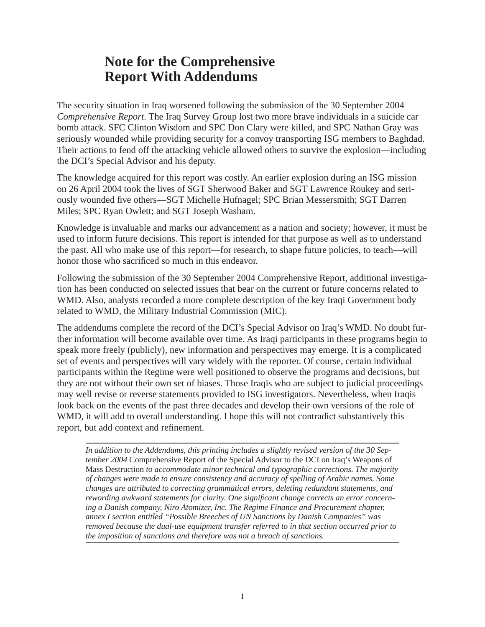## **Note for the Comprehensive Report With Addendums**

The security situation in Iraq worsened following the submission of the 30 September 2004 *Comprehensive Report*. The Iraq Survey Group lost two more brave individuals in a suicide car bomb attack. SFC Clinton Wisdom and SPC Don Clary were killed, and SPC Nathan Gray was seriously wounded while providing security for a convoy transporting ISG members to Baghdad. Their actions to fend off the attacking vehicle allowed others to survive the explosion—including the DCI's Special Advisor and his deputy.

The knowledge acquired for this report was costly. An earlier explosion during an ISG mission on 26 April 2004 took the lives of SGT Sherwood Baker and SGT Lawrence Roukey and seriously wounded five others—SGT Michelle Hufnagel; SPC Brian Messersmith; SGT Darren Miles; SPC Ryan Owlett; and SGT Joseph Washam.

Knowledge is invaluable and marks our advancement as a nation and society; however, it must be used to inform future decisions. This report is intended for that purpose as well as to understand the past. All who make use of this report—for research, to shape future policies, to teach—will honor those who sacrificed so much in this endeavor.

Following the submission of the 30 September 2004 Comprehensive Report, additional investigation has been conducted on selected issues that bear on the current or future concerns related to WMD. Also, analysts recorded a more complete description of the key Iraqi Government body related to WMD, the Military Industrial Commission (MIC).

The addendums complete the record of the DCI's Special Advisor on Iraq's WMD. No doubt further information will become available over time. As Iraqi participants in these programs begin to speak more freely (publicly), new information and perspectives may emerge. It is a complicated set of events and perspectives will vary widely with the reporter. Of course, certain individual participants within the Regime were well positioned to observe the programs and decisions, but they are not without their own set of biases. Those Iraqis who are subject to judicial proceedings may well revise or reverse statements provided to ISG investigators. Nevertheless, when Iraqis look back on the events of the past three decades and develop their own versions of the role of WMD, it will add to overall understanding. I hope this will not contradict substantively this report, but add context and refinement.

*In addition to the Addendums, this printing includes a slightly revised version of the 30 September 2004* Comprehensive Report of the Special Advisor to the DCI on Iraq's Weapons of Mass Destruction *to accommodate minor technical and typographic corrections. The majority of changes were made to ensure consistency and accuracy of spelling of Arabic names. Some changes are attributed to correcting grammatical errors, deleting redundant statements, and*  rewording awkward statements for clarity. One significant change corrects an error concern*ing a Danish company, Niro Atomizer, Inc. The Regime Finance and Procurement chapter, annex I section entitled "Possible Breeches of UN Sanctions by Danish Companies" was removed because the dual-use equipment transfer referred to in that section occurred prior to the imposition of sanctions and therefore was not a breach of sanctions.*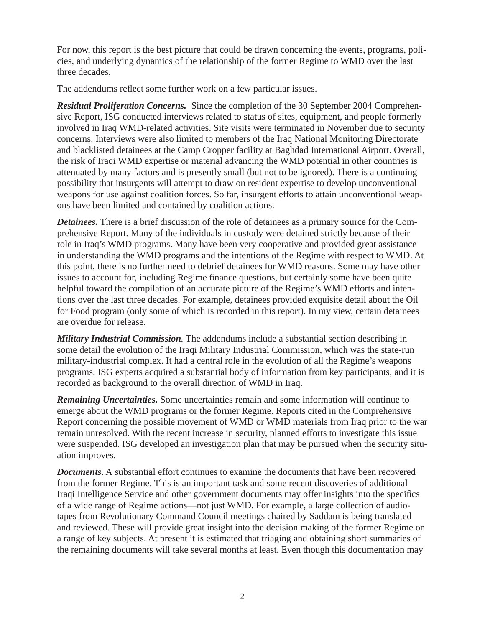For now, this report is the best picture that could be drawn concerning the events, programs, policies, and underlying dynamics of the relationship of the former Regime to WMD over the last three decades.

The addendums reflect some further work on a few particular issues.

*Residual Proliferation Concerns.* Since the completion of the 30 September 2004 Comprehensive Report, ISG conducted interviews related to status of sites, equipment, and people formerly involved in Iraq WMD-related activities. Site visits were terminated in November due to security concerns. Interviews were also limited to members of the Iraq National Monitoring Directorate and blacklisted detainees at the Camp Cropper facility at Baghdad International Airport. Overall, the risk of Iraqi WMD expertise or material advancing the WMD potential in other countries is attenuated by many factors and is presently small (but not to be ignored). There is a continuing possibility that insurgents will attempt to draw on resident expertise to develop unconventional weapons for use against coalition forces. So far, insurgent efforts to attain unconventional weapons have been limited and contained by coalition actions.

*Detainees.* There is a brief discussion of the role of detainees as a primary source for the Comprehensive Report. Many of the individuals in custody were detained strictly because of their role in Iraq's WMD programs. Many have been very cooperative and provided great assistance in understanding the WMD programs and the intentions of the Regime with respect to WMD. At this point, there is no further need to debrief detainees for WMD reasons. Some may have other issues to account for, including Regime finance questions, but certainly some have been quite helpful toward the compilation of an accurate picture of the Regime's WMD efforts and intentions over the last three decades. For example, detainees provided exquisite detail about the Oil for Food program (only some of which is recorded in this report). In my view, certain detainees are overdue for release.

*Military Industrial Commission.* The addendums include a substantial section describing in some detail the evolution of the Iraqi Military Industrial Commission, which was the state-run military-industrial complex. It had a central role in the evolution of all the Regime's weapons programs. ISG experts acquired a substantial body of information from key participants, and it is recorded as background to the overall direction of WMD in Iraq.

*Remaining Uncertainties.* Some uncertainties remain and some information will continue to emerge about the WMD programs or the former Regime. Reports cited in the Comprehensive Report concerning the possible movement of WMD or WMD materials from Iraq prior to the war remain unresolved. With the recent increase in security, planned efforts to investigate this issue were suspended. ISG developed an investigation plan that may be pursued when the security situation improves.

**Documents**. A substantial effort continues to examine the documents that have been recovered from the former Regime. This is an important task and some recent discoveries of additional Iraqi Intelligence Service and other government documents may offer insights into the specifics of a wide range of Regime actions—not just WMD. For example, a large collection of audiotapes from Revolutionary Command Council meetings chaired by Saddam is being translated and reviewed. These will provide great insight into the decision making of the former Regime on a range of key subjects. At present it is estimated that triaging and obtaining short summaries of the remaining documents will take several months at least. Even though this documentation may